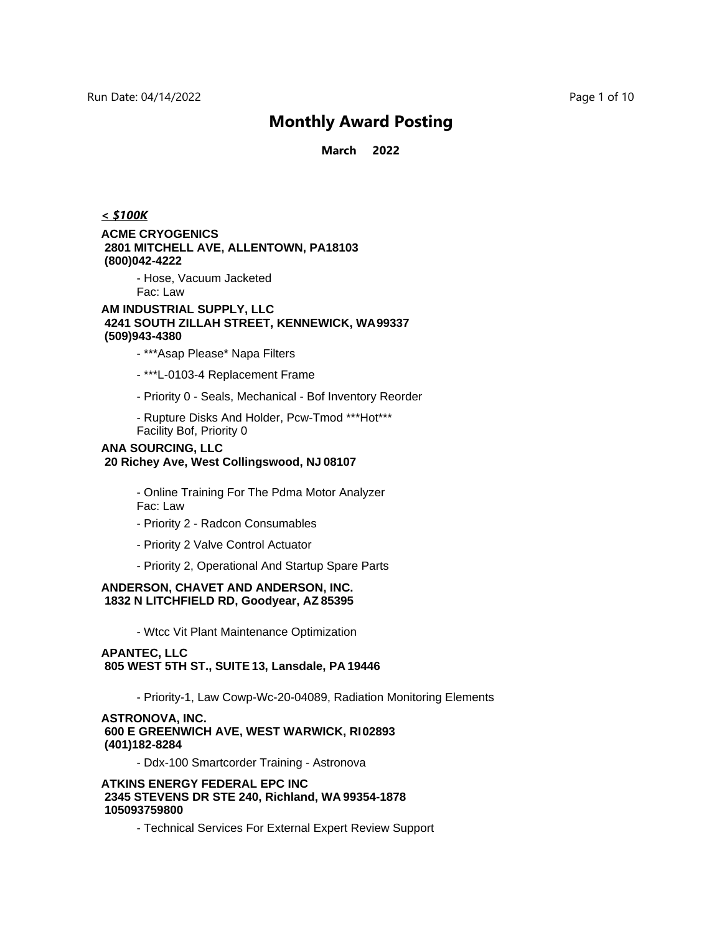**March 2022**

#### *< \$100K*

#### **ACME CRYOGENICS 2801 MITCHELL AVE, ALLENTOWN, PA18103 (800)042-4222**

- Hose, Vacuum Jacketed Fac: Law

#### **AM INDUSTRIAL SUPPLY, LLC 4241 SOUTH ZILLAH STREET, KENNEWICK, WA 99337 (509)943-4380**

- \*\*\*Asap Please\* Napa Filters
- \*\*\*L-0103-4 Replacement Frame
- Priority 0 Seals, Mechanical Bof Inventory Reorder
- Rupture Disks And Holder, Pcw-Tmod \*\*\*Hot\*\*\* Facility Bof, Priority 0

#### **ANA SOURCING, LLC 20 Richey Ave, West Collingswood, NJ 08107**

- Online Training For The Pdma Motor Analyzer Fac: Law
- Priority 2 Radcon Consumables
- Priority 2 Valve Control Actuator
- Priority 2, Operational And Startup Spare Parts

#### **ANDERSON, CHAVET AND ANDERSON, INC. 1832 N LITCHFIELD RD, Goodyear, AZ 85395**

- Wtcc Vit Plant Maintenance Optimization

### **APANTEC, LLC 805 WEST 5TH ST., SUITE 13, Lansdale, PA 19446**

- Priority-1, Law Cowp-Wc-20-04089, Radiation Monitoring Elements

#### **ASTRONOVA, INC. 600 E GREENWICH AVE, WEST WARWICK, RI 02893 (401)182-8284**

- Ddx-100 Smartcorder Training - Astronova

#### **ATKINS ENERGY FEDERAL EPC INC 2345 STEVENS DR STE 240, Richland, WA 99354-1878 105093759800**

- Technical Services For External Expert Review Support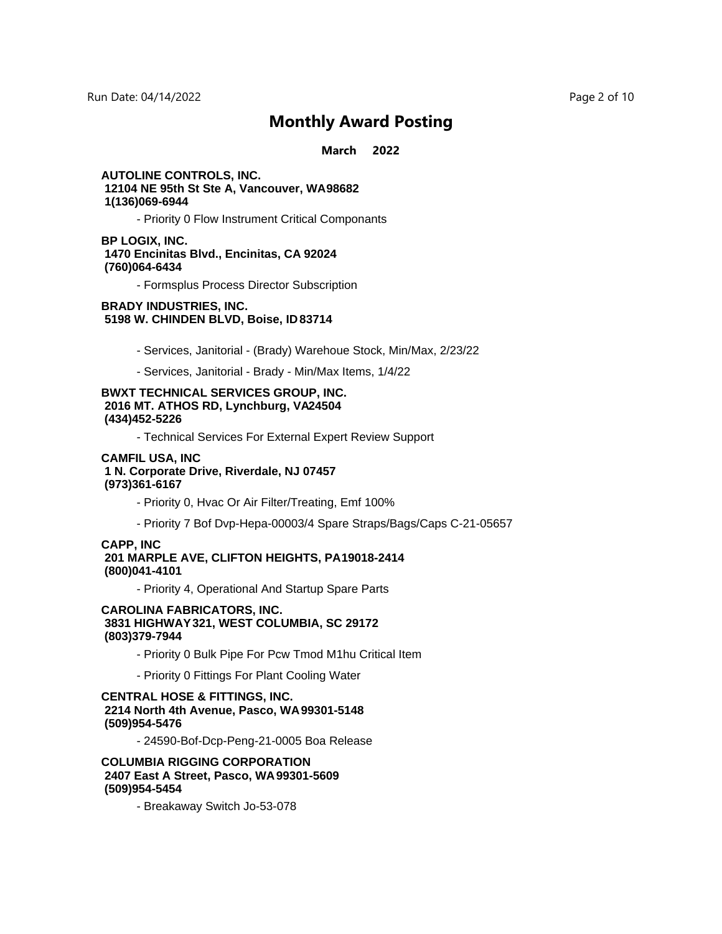#### **March 2022**

#### **AUTOLINE CONTROLS, INC. 12104 NE 95th St Ste A, Vancouver, WA 98682 1(136)069-6944**

- Priority 0 Flow Instrument Critical Componants

#### **BP LOGIX, INC. 1470 Encinitas Blvd., Encinitas, CA 92024 (760)064-6434**

- Formsplus Process Director Subscription

#### **BRADY INDUSTRIES, INC. 5198 W. CHINDEN BLVD, Boise, ID 83714**

- Services, Janitorial (Brady) Warehoue Stock, Min/Max, 2/23/22
- Services, Janitorial Brady Min/Max Items, 1/4/22

#### **BWXT TECHNICAL SERVICES GROUP, INC.** 2016 MT. ATHOS RD, Lynchburg, VA24504  **(434)452-5226**

- Technical Services For External Expert Review Support

#### **CAMFIL USA, INC 1 N. Corporate Drive, Riverdale, NJ 07457 (973)361-6167**

- Priority 0, Hvac Or Air Filter/Treating, Emf 100%
- Priority 7 Bof Dvp-Hepa-00003/4 Spare Straps/Bags/Caps C-21-05657

#### **CAPP, INC 201 MARPLE AVE, CLIFTON HEIGHTS, PA 19018-2414 (800)041-4101**

- Priority 4, Operational And Startup Spare Parts

#### **CAROLINA FABRICATORS, INC. 3831 HIGHWAY 321, WEST COLUMBIA, SC 29172 (803)379-7944**

- Priority 0 Bulk Pipe For Pcw Tmod M1hu Critical Item
- Priority 0 Fittings For Plant Cooling Water

#### **CENTRAL HOSE & FITTINGS, INC. 2214 North 4th Avenue, Pasco, WA 99301-5148 (509)954-5476**

- 24590-Bof-Dcp-Peng-21-0005 Boa Release

#### **COLUMBIA RIGGING CORPORATION 2407 East A Street, Pasco, WA 99301-5609 (509)954-5454**

- Breakaway Switch Jo-53-078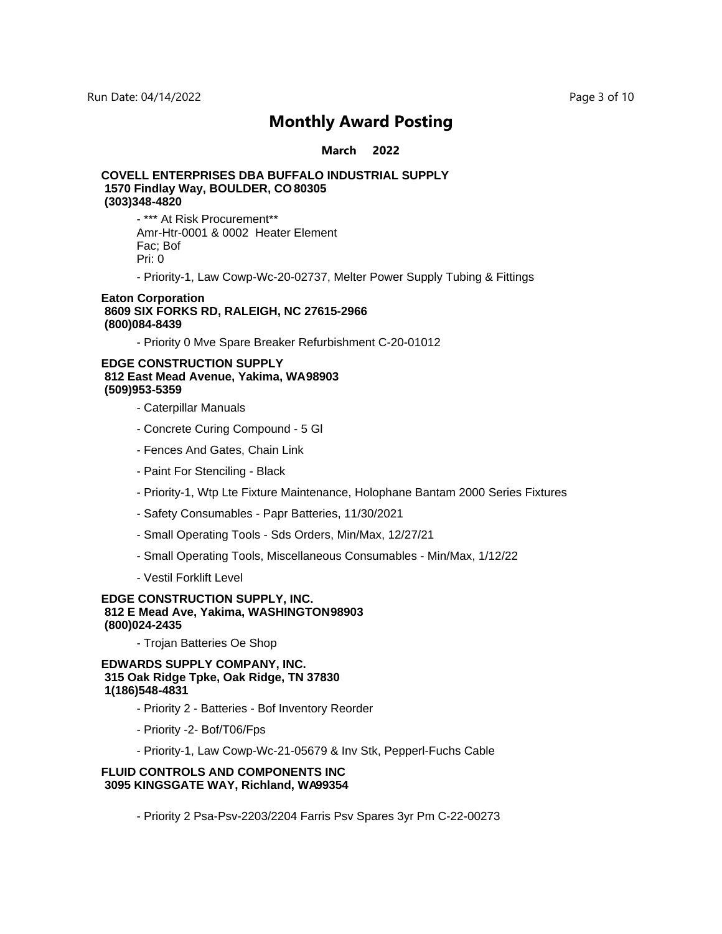#### **March 2022**

### **COVELL ENTERPRISES DBA BUFFALO INDUSTRIAL SUPPLY 1570 Findlay Way, BOULDER, CO 80305 (303)348-4820**

- \*\*\* At Risk Procurement\*\* Amr-Htr-0001 & 0002 Heater Element Fac; Bof Pri: 0

- Priority-1, Law Cowp-Wc-20-02737, Melter Power Supply Tubing & Fittings

#### **Eaton Corporation 8609 SIX FORKS RD, RALEIGH, NC 27615-2966 (800)084-8439**

- Priority 0 Mve Spare Breaker Refurbishment C-20-01012

#### **EDGE CONSTRUCTION SUPPLY 812 East Mead Avenue, Yakima, WA 98903 (509)953-5359**

- Caterpillar Manuals
- Concrete Curing Compound 5 Gl
- Fences And Gates, Chain Link
- Paint For Stenciling Black
- Priority-1, Wtp Lte Fixture Maintenance, Holophane Bantam 2000 Series Fixtures
- Safety Consumables Papr Batteries, 11/30/2021
- Small Operating Tools Sds Orders, Min/Max, 12/27/21
- Small Operating Tools, Miscellaneous Consumables Min/Max, 1/12/22
- Vestil Forklift Level

#### **EDGE CONSTRUCTION SUPPLY, INC. 812 E Mead Ave, Yakima, WASHINGTON 98903 (800)024-2435**

- Trojan Batteries Oe Shop

**EDWARDS SUPPLY COMPANY, INC. 315 Oak Ridge Tpke, Oak Ridge, TN 37830 1(186)548-4831**

- Priority 2 Batteries Bof Inventory Reorder
- Priority -2- Bof/T06/Fps
- Priority-1, Law Cowp-Wc-21-05679 & Inv Stk, Pepperl-Fuchs Cable

#### **FLUID CONTROLS AND COMPONENTS INC** 3095 KINGSGATE WAY, Richland, WA99354

- Priority 2 Psa-Psv-2203/2204 Farris Psv Spares 3yr Pm C-22-00273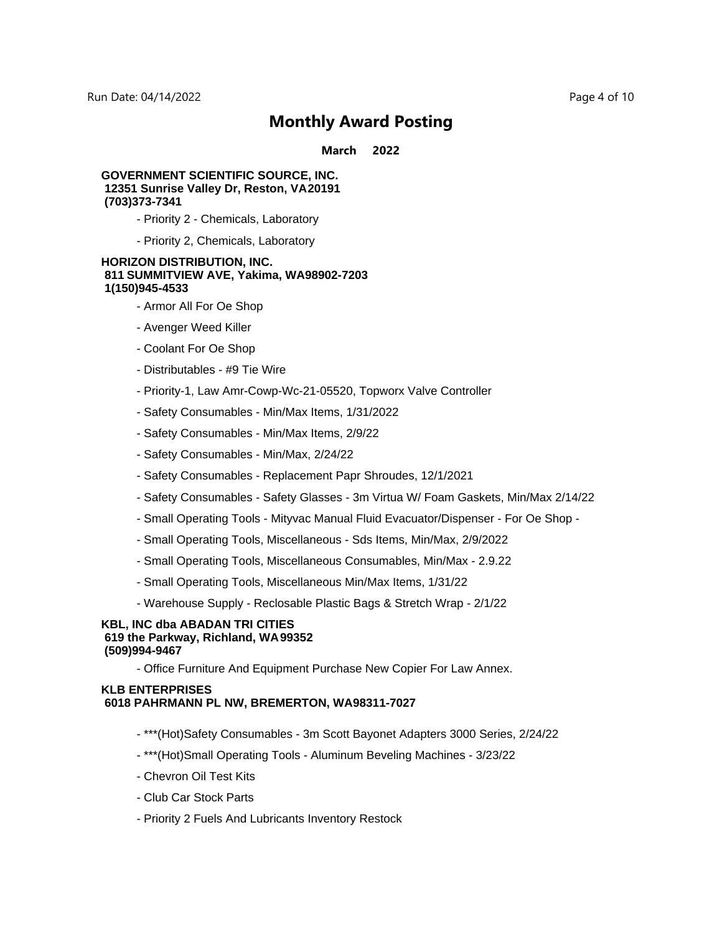**March 2022**

#### **GOVERNMENT SCIENTIFIC SOURCE, INC. 12351 Sunrise Valley Dr, Reston, VA 20191 (703)373-7341**

- Priority 2 Chemicals, Laboratory
- Priority 2, Chemicals, Laboratory

#### **HORIZON DISTRIBUTION, INC.** 811 SUMMITVIEW AVE, Yakima, WA98902-7203 **1(150)945-4533**

- Armor All For Oe Shop
- Avenger Weed Killer
- Coolant For Oe Shop
- Distributables #9 Tie Wire
- Priority-1, Law Amr-Cowp-Wc-21-05520, Topworx Valve Controller
- Safety Consumables Min/Max Items, 1/31/2022
- Safety Consumables Min/Max Items, 2/9/22
- Safety Consumables Min/Max, 2/24/22
- Safety Consumables Replacement Papr Shroudes, 12/1/2021
- Safety Consumables Safety Glasses 3m Virtua W/ Foam Gaskets, Min/Max 2/14/22
- Small Operating Tools Mityvac Manual Fluid Evacuator/Dispenser For Oe Shop -
- Small Operating Tools, Miscellaneous Sds Items, Min/Max, 2/9/2022
- Small Operating Tools, Miscellaneous Consumables, Min/Max 2.9.22
- Small Operating Tools, Miscellaneous Min/Max Items, 1/31/22
- Warehouse Supply Reclosable Plastic Bags & Stretch Wrap 2/1/22

#### **KBL, INC dba ABADAN TRI CITIES 619 the Parkway, Richland, WA 99352 (509)994-9467**

- Office Furniture And Equipment Purchase New Copier For Law Annex.

#### **KLB ENTERPRISES 6018 PAHRMANN PL NW, BREMERTON, WA 98311-7027**

- \*\*\*(Hot)Safety Consumables 3m Scott Bayonet Adapters 3000 Series, 2/24/22
- \*\*\*(Hot)Small Operating Tools Aluminum Beveling Machines 3/23/22
- Chevron Oil Test Kits
- Club Car Stock Parts
- Priority 2 Fuels And Lubricants Inventory Restock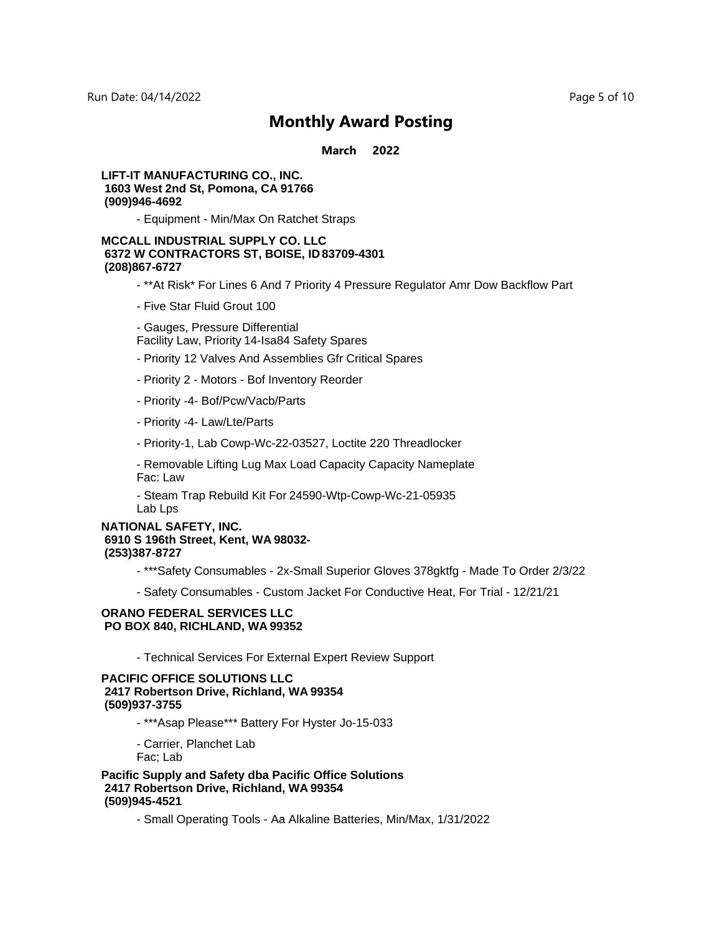**March 2022**

#### **LIFT-IT MANUFACTURING CO., INC. 1603 West 2nd St, Pomona, CA 91766 (909)946-4692**

- Equipment - Min/Max On Ratchet Straps

#### **MCCALL INDUSTRIAL SUPPLY CO. LLC 6372 W CONTRACTORS ST, BOISE, ID 83709-4301 (208)867-6727**

- \*\*At Risk\* For Lines 6 And 7 Priority 4 Pressure Regulator Amr Dow Backflow Part
- Five Star Fluid Grout 100
- Gauges, Pressure Differential Facility Law, Priority 14-Isa84 Safety Spares
- Priority 12 Valves And Assemblies Gfr Critical Spares
- 
- Priority 2 Motors Bof Inventory Reorder
- Priority -4- Bof/Pcw/Vacb/Parts
- Priority -4- Law/Lte/Parts
- Priority-1, Lab Cowp-Wc-22-03527, Loctite 220 Threadlocker
- Removable Lifting Lug Max Load Capacity Capacity Nameplate Fac: Law
- Steam Trap Rebuild Kit For 24590-Wtp-Cowp-Wc-21-05935 Lab Lps

#### **NATIONAL SAFETY, INC. 6910 S 196th Street, Kent, WA 98032- (253)387-8727**

- \*\*\*Safety Consumables 2x-Small Superior Gloves 378gktfg Made To Order 2/3/22
- Safety Consumables Custom Jacket For Conductive Heat, For Trial 12/21/21

#### **ORANO FEDERAL SERVICES LLC PO BOX 840, RICHLAND, WA 99352**

- Technical Services For External Expert Review Support

#### **PACIFIC OFFICE SOLUTIONS LLC 2417 Robertson Drive, Richland, WA 99354 (509)937-3755**

- \*\*\*Asap Please\*\*\* Battery For Hyster Jo-15-033
- Carrier, Planchet Lab

Fac; Lab

**Pacific Supply and Safety dba Pacific Office Solutions 2417 Robertson Drive, Richland, WA 99354 (509)945-4521**

- Small Operating Tools - Aa Alkaline Batteries, Min/Max, 1/31/2022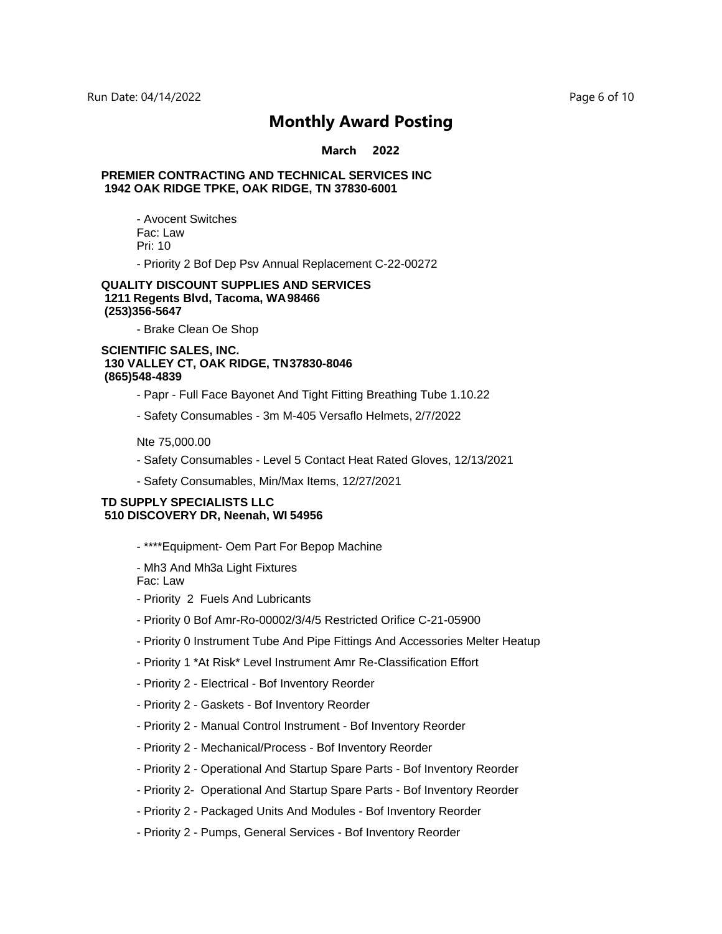#### **March 2022**

#### **PREMIER CONTRACTING AND TECHNICAL SERVICES INC 1942 OAK RIDGE TPKE, OAK RIDGE, TN 37830-6001**

- Avocent Switches Fac: Law Pri: 10

- Priority 2 Bof Dep Psv Annual Replacement C-22-00272

#### **QUALITY DISCOUNT SUPPLIES AND SERVICES 1211 Regents Blvd, Tacoma, WA 98466 (253)356-5647**

- Brake Clean Oe Shop

#### **SCIENTIFIC SALES, INC. 130 VALLEY CT, OAK RIDGE, TN 37830-8046 (865)548-4839**

- Papr Full Face Bayonet And Tight Fitting Breathing Tube 1.10.22
- Safety Consumables 3m M-405 Versaflo Helmets, 2/7/2022

Nte 75,000.00

- Safety Consumables Level 5 Contact Heat Rated Gloves, 12/13/2021
- Safety Consumables, Min/Max Items, 12/27/2021

#### **TD SUPPLY SPECIALISTS LLC 510 DISCOVERY DR, Neenah, WI 54956**

- \*\*\*\*Equipment- Oem Part For Bepop Machine

- Mh3 And Mh3a Light Fixtures Fac: Law

- Priority 2 Fuels And Lubricants
- Priority 0 Bof Amr-Ro-00002/3/4/5 Restricted Orifice C-21-05900
- Priority 0 Instrument Tube And Pipe Fittings And Accessories Melter Heatup
- Priority 1 \*At Risk\* Level Instrument Amr Re-Classification Effort
- Priority 2 Electrical Bof Inventory Reorder
- Priority 2 Gaskets Bof Inventory Reorder
- Priority 2 Manual Control Instrument Bof Inventory Reorder
- Priority 2 Mechanical/Process Bof Inventory Reorder
- Priority 2 Operational And Startup Spare Parts Bof Inventory Reorder
- Priority 2- Operational And Startup Spare Parts Bof Inventory Reorder
- Priority 2 Packaged Units And Modules Bof Inventory Reorder
- Priority 2 Pumps, General Services Bof Inventory Reorder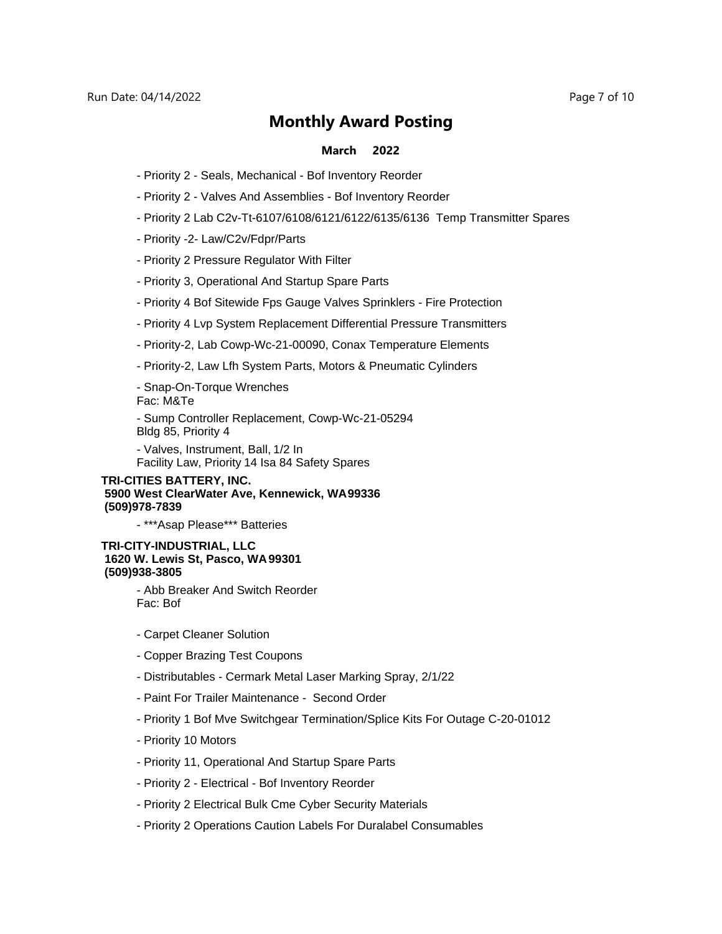Run Date: 04/14/2022 Page 7 of 10

### **Monthly Award Posting**

#### **March 2022**

- Priority 2 Seals, Mechanical Bof Inventory Reorder
- Priority 2 Valves And Assemblies Bof Inventory Reorder
- Priority 2 Lab C2v-Tt-6107/6108/6121/6122/6135/6136 Temp Transmitter Spares
- Priority -2- Law/C2v/Fdpr/Parts
- Priority 2 Pressure Regulator With Filter
- Priority 3, Operational And Startup Spare Parts
- Priority 4 Bof Sitewide Fps Gauge Valves Sprinklers Fire Protection
- Priority 4 Lvp System Replacement Differential Pressure Transmitters
- Priority-2, Lab Cowp-Wc-21-00090, Conax Temperature Elements
- Priority-2, Law Lfh System Parts, Motors & Pneumatic Cylinders
- Snap-On-Torque Wrenches

Fac: M&Te

- Sump Controller Replacement, Cowp-Wc-21-05294 Bldg 85, Priority 4

- Valves, Instrument, Ball, 1/2 In Facility Law, Priority 14 Isa 84 Safety Spares

#### **TRI-CITIES BATTERY, INC. 5900 West ClearWater Ave, Kennewick, WA 99336 (509)978-7839**

- \*\*\*Asap Please\*\*\* Batteries

#### **TRI-CITY-INDUSTRIAL, LLC 1620 W. Lewis St, Pasco, WA 99301 (509)938-3805**

- Abb Breaker And Switch Reorder Fac: Bof

- Carpet Cleaner Solution
- Copper Brazing Test Coupons
- Distributables Cermark Metal Laser Marking Spray, 2/1/22
- Paint For Trailer Maintenance Second Order
- Priority 1 Bof Mve Switchgear Termination/Splice Kits For Outage C-20-01012
- Priority 10 Motors
- Priority 11, Operational And Startup Spare Parts
- Priority 2 Electrical Bof Inventory Reorder
- Priority 2 Electrical Bulk Cme Cyber Security Materials
- Priority 2 Operations Caution Labels For Duralabel Consumables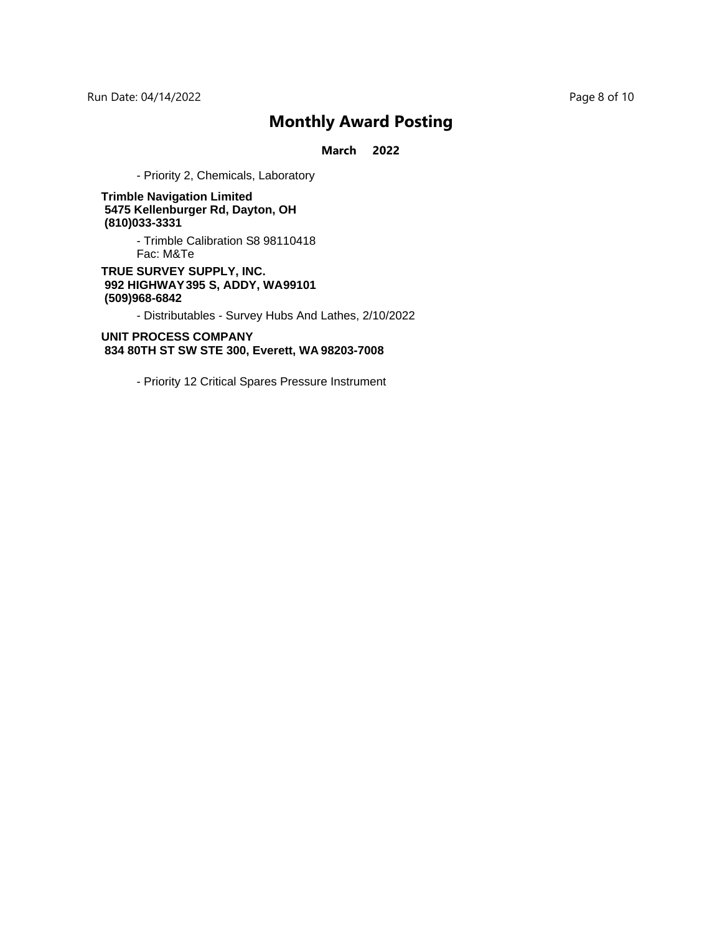Run Date: 04/14/2022 Page 8 of 10

## **Monthly Award Posting**

**March 2022**

- Priority 2, Chemicals, Laboratory

**Trimble Navigation Limited 5475 Kellenburger Rd, Dayton, OH (810)033-3331**

> - Trimble Calibration S8 98110418 Fac: M&Te

**TRUE SURVEY SUPPLY, INC. 992 HIGHWAY 395 S, ADDY, WA 99101 (509)968-6842**

- Distributables - Survey Hubs And Lathes, 2/10/2022

**UNIT PROCESS COMPANY 834 80TH ST SW STE 300, Everett, WA 98203-7008**

- Priority 12 Critical Spares Pressure Instrument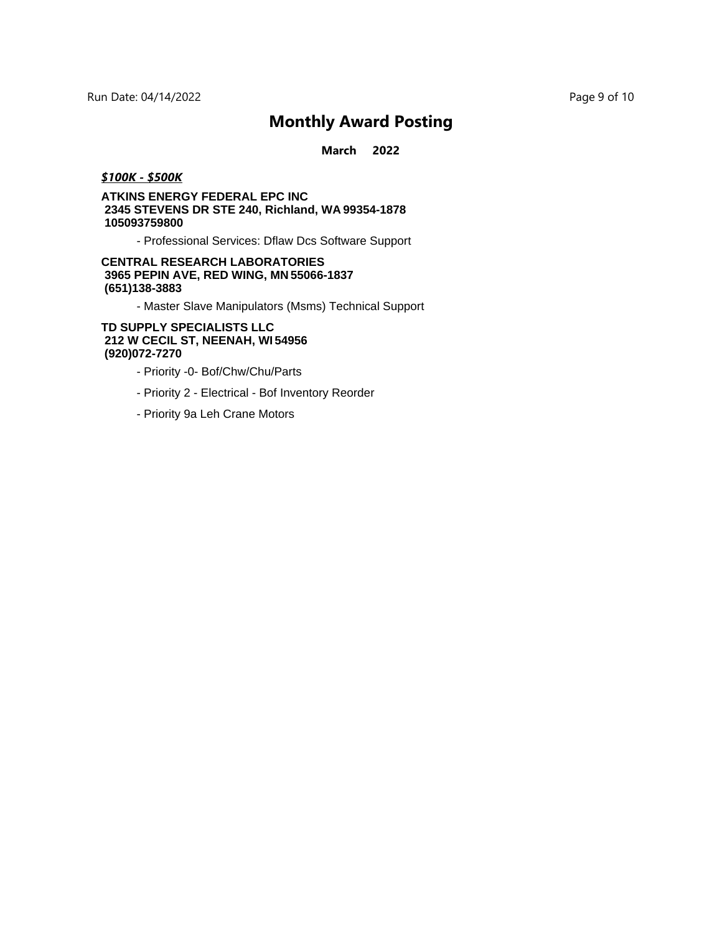**March 2022**

#### *\$100K - \$500K*

#### **ATKINS ENERGY FEDERAL EPC INC 2345 STEVENS DR STE 240, Richland, WA 99354-1878 105093759800**

- Professional Services: Dflaw Dcs Software Support

#### **CENTRAL RESEARCH LABORATORIES 3965 PEPIN AVE, RED WING, MN 55066-1837 (651)138-3883**

- Master Slave Manipulators (Msms) Technical Support

#### **TD SUPPLY SPECIALISTS LLC 212 W CECIL ST, NEENAH, WI 54956 (920)072-7270**

- Priority -0- Bof/Chw/Chu/Parts
- Priority 2 Electrical Bof Inventory Reorder
- Priority 9a Leh Crane Motors